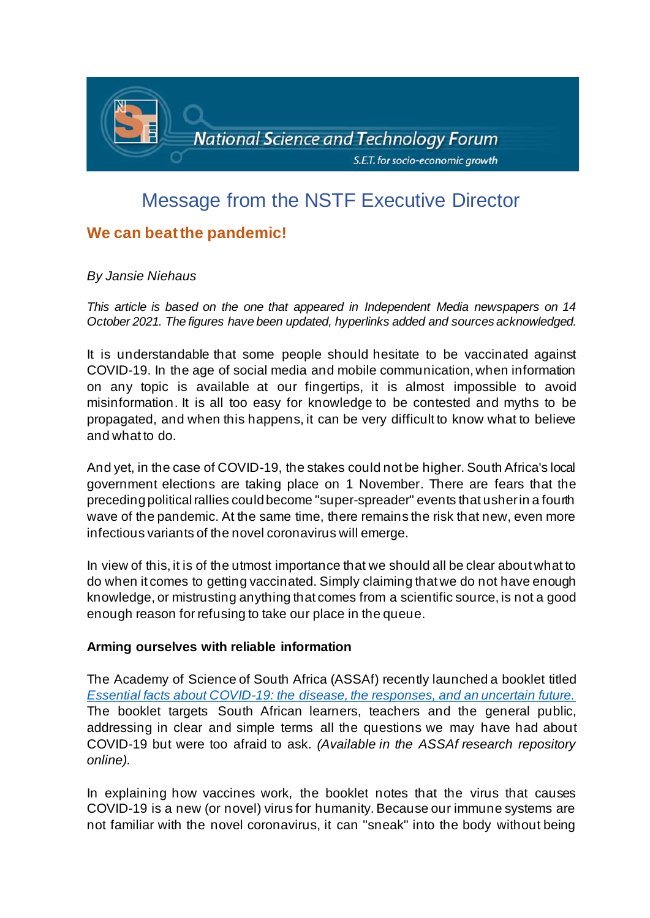

# Message from the NSTF Executive Director

# **We can beat the pandemic!**

## *By Jansie Niehaus*

*This article is based on the one that appeared in Independent Media newspapers on 14 October 2021. The figures have been updated, hyperlinks added and sources acknowledged.*

It is understandable that some people should hesitate to be vaccinated against COVID-19. In the age of social media and mobile communication, when information on any topic is available at our fingertips, it is almost impossible to avoid misinformation. It is all too easy for knowledge to be contested and myths to be propagated, and when this happens, it can be very difficult to know what to believe and what to do.

And yet, in the case of COVID-19, the stakes could not be higher. South Africa's local government elections are taking place on 1 November. There are fears that the preceding political rallies could become "super-spreader" events that usher in a fourth wave of the pandemic. At the same time, there remains the risk that new, even more infectious variants of the novel coronavirus will emerge.

In view of this, it is of the utmost importance that we should all be clear about what to do when it comes to getting vaccinated. Simply claiming that we do not have enough knowledge, or mistrusting anything that comes from a scientific source, is not a good enough reason for refusing to take our place in the queue.

## **Arming ourselves with reliable information**

The [Academy of Science of South Africa \(ASSAf\) r](https://www.assaf.org.za/)ecently launched a booklet titled *[Essential facts about COVID-19: the disease, the responses, and an uncertain future.](https://research.assaf.org.za/handle/20.500.11911/194)*  The booklet targets South African learners, teachers and the general public, addressing in clear and simple terms all the questions we may have had about COVID-19 but were too afraid to ask. *(Available in the ASSAf research repository online).*

In explaining how vaccines work, the booklet notes that the virus that causes COVID-19 is a new (or novel) virus for humanity. Because our immune systems are not familiar with the novel coronavirus, it can "sneak" into the body without being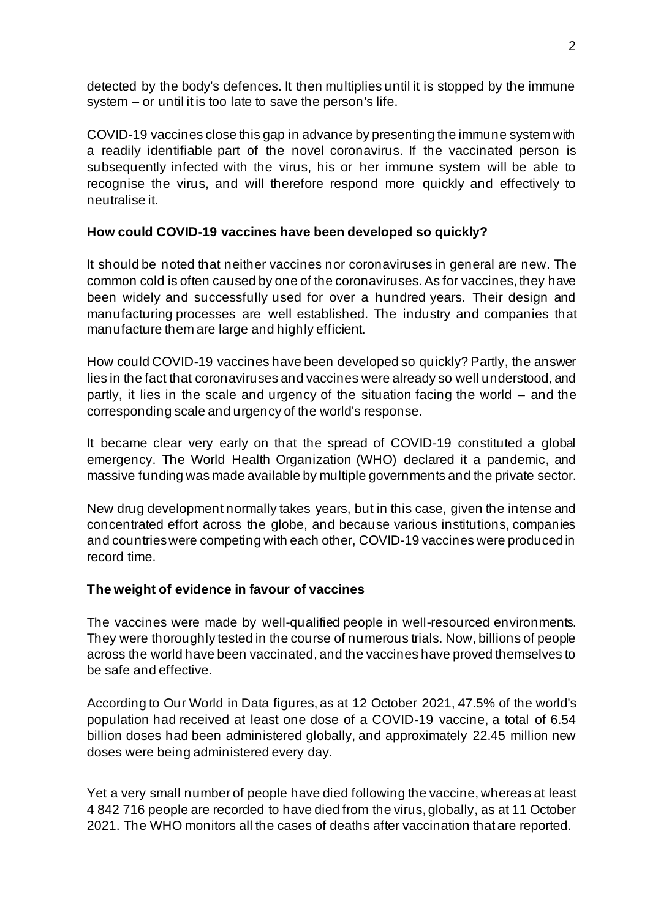detected by the body's defences. It then multiplies until it is stopped by the immune system – or until it is too late to save the person's life.

COVID-19 vaccines close this gap in advance by presenting the immune system with a readily identifiable part of the novel coronavirus. If the vaccinated person is subsequently infected with the virus, his or her immune system will be able to recognise the virus, and will therefore respond more quickly and effectively to neutralise it.

## **How could COVID-19 vaccines have been developed so quickly?**

It should be noted that neither vaccines nor coronaviruses in general are new. The common cold is often caused by one of the coronaviruses. As for vaccines, they have been widely and successfully used for over a hundred years. Their design and manufacturing processes are well established. The industry and companies that manufacture them are large and highly efficient.

How could COVID-19 vaccines have been developed so quickly? Partly, the answer lies in the fact that coronaviruses and vaccines were already so well understood, and partly, it lies in the scale and urgency of the situation facing the world – and the corresponding scale and urgency of the world's response.

It became clear very early on that the spread of COVID-19 constituted a global emergency. The World Health Organization (WHO) declared it a pandemic, and massive funding was made available by multiple governments and the private sector.

New drug development normally takes years, but in this case, given the intense and concentrated effort across the globe, and because various institutions, companies and countries were competing with each other, COVID-19 vaccines were produced in record time.

#### **The weight of evidence in favour of vaccines**

The vaccines were made by well-qualified people in well-resourced environments. They were thoroughly tested in the course of numerous trials. Now, billions of people across the world have been vaccinated, and the vaccines have proved themselves to be safe and effective.

According to Our World in Data figures, as at 12 October 2021, 47.5% of the world's population had received at least one dose of a COVID-19 vaccine, a total of 6.54 billion doses had been administered globally, and approximately 22.45 million new doses were being administered every day.

Yet a very small number of people have died following the vaccine, whereas at least 4 842 716 people are recorded to have died from the virus, globally, as at 11 October 2021. The WHO monitors all the cases of deaths after vaccination that are reported.